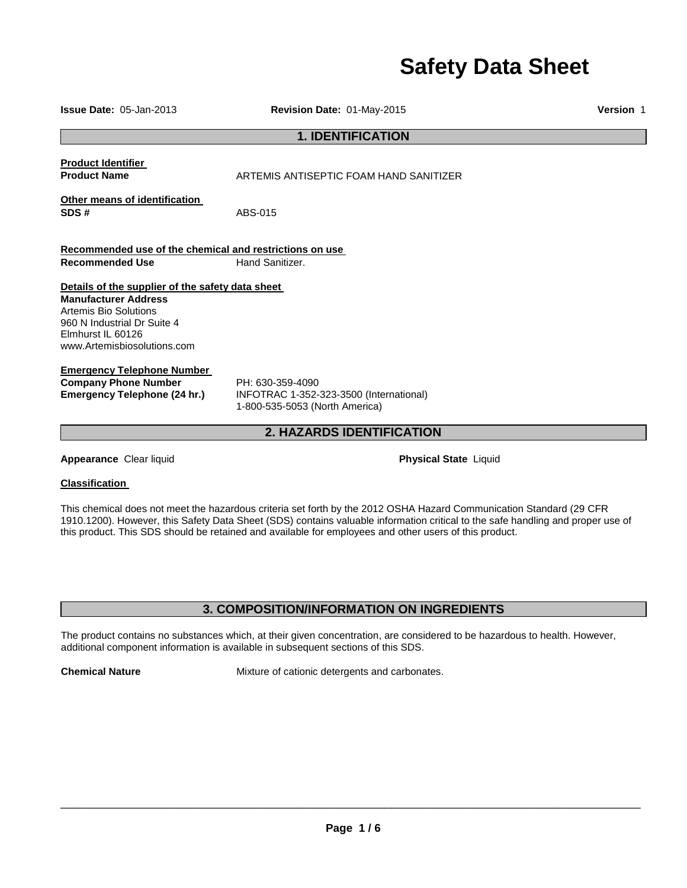# **Safety Data Sheet**

| <b>Issue Date: 05-Jan-2013</b>                                                                                                                                                              | Revision Date: 01-May-2015                                                                    | Version 1 |  |
|---------------------------------------------------------------------------------------------------------------------------------------------------------------------------------------------|-----------------------------------------------------------------------------------------------|-----------|--|
|                                                                                                                                                                                             | <b>1. IDENTIFICATION</b>                                                                      |           |  |
| <b>Product Identifier</b><br><b>Product Name</b>                                                                                                                                            | ARTEMIS ANTISEPTIC FOAM HAND SANITIZER                                                        |           |  |
| Other means of identification<br>SDS#                                                                                                                                                       | ABS-015                                                                                       |           |  |
| Recommended use of the chemical and restrictions on use<br><b>Recommended Use</b>                                                                                                           | Hand Sanitizer.                                                                               |           |  |
| Details of the supplier of the safety data sheet<br><b>Manufacturer Address</b><br>Artemis Bio Solutions<br>960 N Industrial Dr Suite 4<br>Elmhurst IL 60126<br>www.Artemisbiosolutions.com |                                                                                               |           |  |
| <b>Emergency Telephone Number</b><br><b>Company Phone Number</b><br>Emergency Telephone (24 hr.)                                                                                            | PH: 630-359-4090<br>INFOTRAC 1-352-323-3500 (International)<br>1-800-535-5053 (North America) |           |  |
| 2. HAZARDS IDENTIFICATION                                                                                                                                                                   |                                                                                               |           |  |
| Appearance Clear liquid                                                                                                                                                                     | <b>Physical State Liquid</b>                                                                  |           |  |
| <b>Classification</b>                                                                                                                                                                       |                                                                                               |           |  |

This chemical does not meet the hazardous criteria set forth by the 2012 OSHA Hazard Communication Standard (29 CFR 1910.1200). However, this Safety Data Sheet (SDS) contains valuable information critical to the safe handling and proper use of this product. This SDS should be retained and available for employees and other users of this product.

### **3. COMPOSITION/INFORMATION ON INGREDIENTS**

The product contains no substances which, at their given concentration, are considered to be hazardous to health. However, additional component information is available in subsequent sections of this SDS.

**Chemical Nature** Mixture of cationic detergents and carbonates.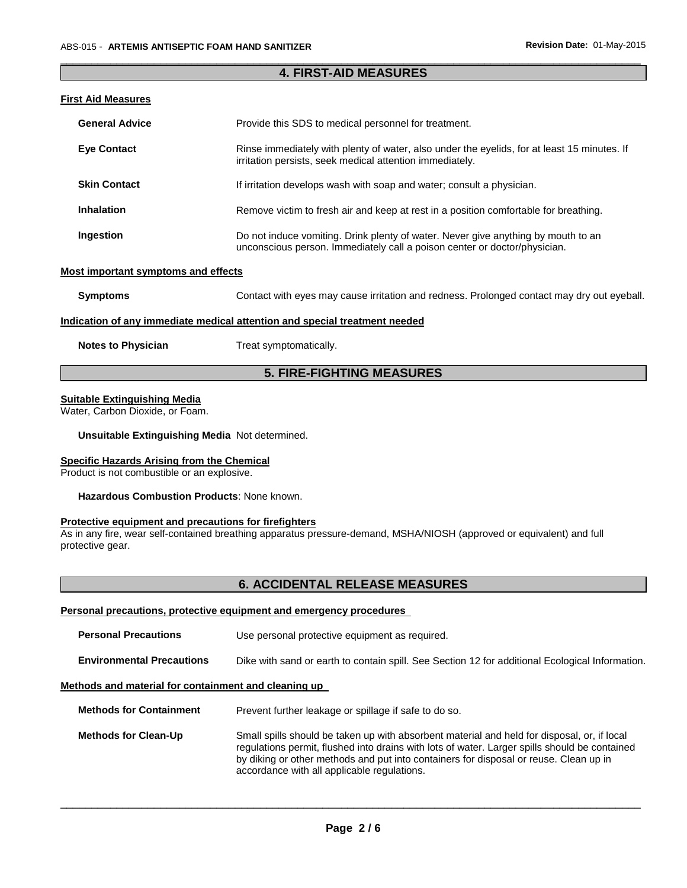### \_\_\_\_\_\_\_\_\_\_\_\_\_\_\_\_\_\_\_\_\_\_\_\_\_\_\_\_\_\_\_\_\_\_\_\_\_\_\_\_\_\_\_\_\_\_\_\_\_\_\_\_\_\_\_\_\_\_\_\_\_\_\_\_\_\_\_\_\_\_\_\_\_\_\_\_\_\_\_\_\_\_\_\_\_\_\_\_\_\_\_\_\_ **4. FIRST-AID MEASURES**

### **First Aid Measures**

| <b>General Advice</b> | Provide this SDS to medical personnel for treatment.                                                                                                           |  |  |
|-----------------------|----------------------------------------------------------------------------------------------------------------------------------------------------------------|--|--|
| <b>Eye Contact</b>    | Rinse immediately with plenty of water, also under the eyelids, for at least 15 minutes. If<br>irritation persists, seek medical attention immediately.        |  |  |
| <b>Skin Contact</b>   | If irritation develops wash with soap and water; consult a physician.                                                                                          |  |  |
| <b>Inhalation</b>     | Remove victim to fresh air and keep at rest in a position comfortable for breathing.                                                                           |  |  |
| Ingestion             | Do not induce vomiting. Drink plenty of water. Never give anything by mouth to an<br>unconscious person. Immediately call a poison center or doctor/physician. |  |  |

#### **Most important symptoms and effects**

**Symptoms** Contact with eyes may cause irritation and redness. Prolonged contact may dry out eyeball.

#### **Indication of any immediate medical attention and special treatment needed**

**Notes to Physician**  Treat symptomatically.

### **5. FIRE-FIGHTING MEASURES**

#### **Suitable Extinguishing Media**

Water, Carbon Dioxide, or Foam.

#### **Unsuitable Extinguishing Media** Not determined.

### **Specific Hazards Arising from the Chemical**

Product is not combustible or an explosive.

**Hazardous Combustion Products**: None known.

#### **Protective equipment and precautions for firefighters**

As in any fire, wear self-contained breathing apparatus pressure-demand, MSHA/NIOSH (approved or equivalent) and full protective gear.

### **6. ACCIDENTAL RELEASE MEASURES**

### **Personal precautions, protective equipment and emergency procedures**

| <b>Personal Precautions</b>                          | Use personal protective equipment as required.                                                                                                                                                                                                                                                                                       |
|------------------------------------------------------|--------------------------------------------------------------------------------------------------------------------------------------------------------------------------------------------------------------------------------------------------------------------------------------------------------------------------------------|
| <b>Environmental Precautions</b>                     | Dike with sand or earth to contain spill. See Section 12 for additional Ecological Information.                                                                                                                                                                                                                                      |
| Methods and material for containment and cleaning up |                                                                                                                                                                                                                                                                                                                                      |
| <b>Methods for Containment</b>                       | Prevent further leakage or spillage if safe to do so.                                                                                                                                                                                                                                                                                |
| <b>Methods for Clean-Up</b>                          | Small spills should be taken up with absorbent material and held for disposal, or, if local<br>regulations permit, flushed into drains with lots of water. Larger spills should be contained<br>by diking or other methods and put into containers for disposal or reuse. Clean up in<br>accordance with all applicable regulations. |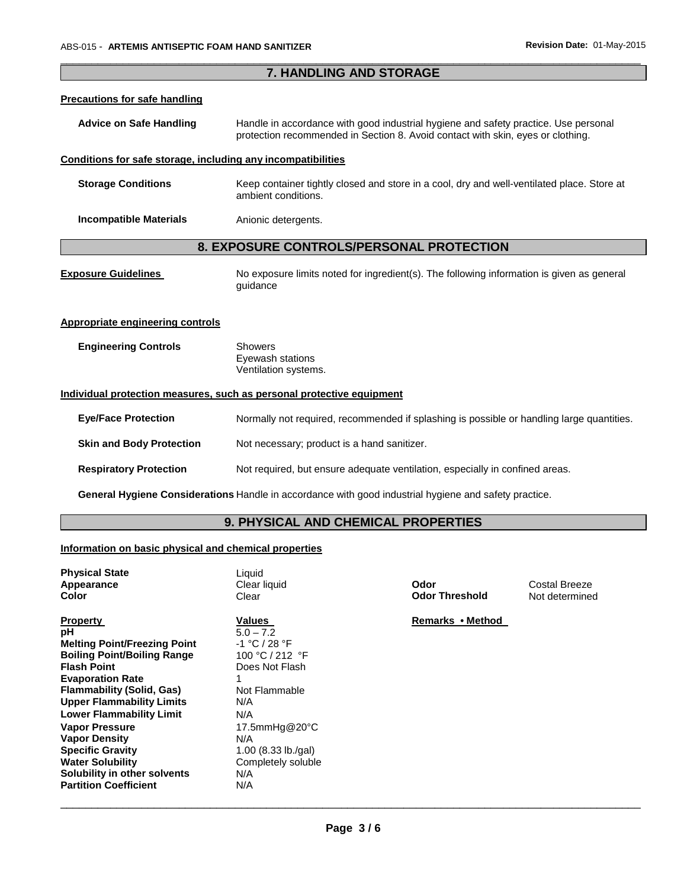**Vapor Density**  N/A

**Solubility in other solvents** N/A **Partition Coefficient N/A** 

**Specific Gravity** 1.00 (8.33 lb./gal) **Water Solubility Completely soluble** 

| 7. HANDLING AND STORAGE                                                                                                                                                                                                                                                                 |                                                                                                                                                                        |                               |                                 |  |
|-----------------------------------------------------------------------------------------------------------------------------------------------------------------------------------------------------------------------------------------------------------------------------------------|------------------------------------------------------------------------------------------------------------------------------------------------------------------------|-------------------------------|---------------------------------|--|
| <b>Precautions for safe handling</b>                                                                                                                                                                                                                                                    |                                                                                                                                                                        |                               |                                 |  |
| <b>Advice on Safe Handling</b>                                                                                                                                                                                                                                                          | Handle in accordance with good industrial hygiene and safety practice. Use personal<br>protection recommended in Section 8. Avoid contact with skin, eyes or clothing. |                               |                                 |  |
| Conditions for safe storage, including any incompatibilities                                                                                                                                                                                                                            |                                                                                                                                                                        |                               |                                 |  |
| <b>Storage Conditions</b>                                                                                                                                                                                                                                                               | Keep container tightly closed and store in a cool, dry and well-ventilated place. Store at<br>ambient conditions.                                                      |                               |                                 |  |
| <b>Incompatible Materials</b>                                                                                                                                                                                                                                                           | Anionic detergents.                                                                                                                                                    |                               |                                 |  |
|                                                                                                                                                                                                                                                                                         | 8. EXPOSURE CONTROLS/PERSONAL PROTECTION                                                                                                                               |                               |                                 |  |
| <b>Exposure Guidelines</b>                                                                                                                                                                                                                                                              | No exposure limits noted for ingredient(s). The following information is given as general<br>guidance                                                                  |                               |                                 |  |
| <b>Appropriate engineering controls</b>                                                                                                                                                                                                                                                 |                                                                                                                                                                        |                               |                                 |  |
| <b>Engineering Controls</b>                                                                                                                                                                                                                                                             | <b>Showers</b><br>Eyewash stations<br>Ventilation systems.                                                                                                             |                               |                                 |  |
|                                                                                                                                                                                                                                                                                         | Individual protection measures, such as personal protective equipment                                                                                                  |                               |                                 |  |
| <b>Eye/Face Protection</b>                                                                                                                                                                                                                                                              | Normally not required, recommended if splashing is possible or handling large quantities.                                                                              |                               |                                 |  |
| <b>Skin and Body Protection</b>                                                                                                                                                                                                                                                         | Not necessary; product is a hand sanitizer.                                                                                                                            |                               |                                 |  |
| <b>Respiratory Protection</b>                                                                                                                                                                                                                                                           | Not required, but ensure adequate ventilation, especially in confined areas.                                                                                           |                               |                                 |  |
|                                                                                                                                                                                                                                                                                         | General Hygiene Considerations Handle in accordance with good industrial hygiene and safety practice.                                                                  |                               |                                 |  |
|                                                                                                                                                                                                                                                                                         | 9. PHYSICAL AND CHEMICAL PROPERTIES                                                                                                                                    |                               |                                 |  |
| Information on basic physical and chemical properties                                                                                                                                                                                                                                   |                                                                                                                                                                        |                               |                                 |  |
| <b>Physical State</b><br>Appearance<br><b>Color</b>                                                                                                                                                                                                                                     | Liquid<br>Clear liquid<br>Clear                                                                                                                                        | Odor<br><b>Odor Threshold</b> | Costal Breeze<br>Not determined |  |
| <b>Property</b><br>рH<br><b>Melting Point/Freezing Point</b><br><b>Boiling Point/Boiling Range</b><br><b>Flash Point</b><br><b>Evaporation Rate</b><br><b>Flammability (Solid, Gas)</b><br><b>Upper Flammability Limits</b><br><b>Lower Flammability Limit</b><br><b>Vapor Pressure</b> | <b>Values</b><br>$5.0 - 7.2$<br>-1 °C / 28 °F<br>100 °C / 212 °F<br>Does Not Flash<br>1<br>Not Flammable<br>N/A<br>N/A<br>17.5mmHg@20°C                                | Remarks • Method              |                                 |  |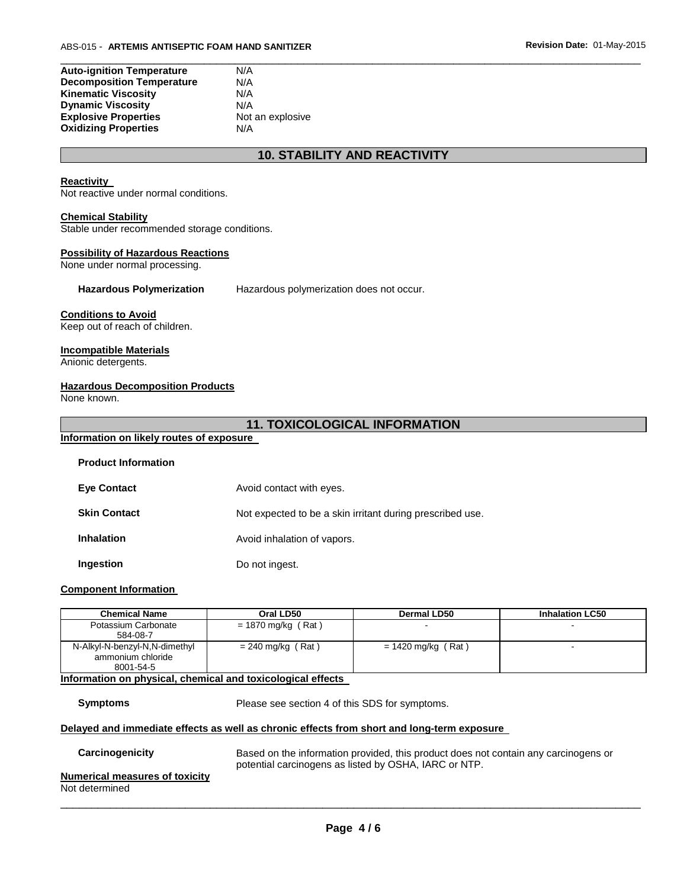| <b>Auto-ignition Temperature</b> | N/A              |
|----------------------------------|------------------|
| <b>Decomposition Temperature</b> | N/A              |
| <b>Kinematic Viscosity</b>       | N/A              |
| <b>Dynamic Viscosity</b>         | N/A              |
| <b>Explosive Properties</b>      | Not an explosive |
| <b>Oxidizing Properties</b>      | N/A              |

### **10. STABILITY AND REACTIVITY**

\_\_\_\_\_\_\_\_\_\_\_\_\_\_\_\_\_\_\_\_\_\_\_\_\_\_\_\_\_\_\_\_\_\_\_\_\_\_\_\_\_\_\_\_\_\_\_\_\_\_\_\_\_\_\_\_\_\_\_\_\_\_\_\_\_\_\_\_\_\_\_\_\_\_\_\_\_\_\_\_\_\_\_\_\_\_\_\_\_\_\_\_\_

#### **Reactivity**

Not reactive under normal conditions.

#### **Chemical Stability**

Stable under recommended storage conditions.

### **Possibility of Hazardous Reactions**

None under normal processing.

**Hazardous Polymerization** Hazardous polymerization does not occur.

#### **Conditions to Avoid**

Keep out of reach of children.

### **Incompatible Materials**

Anionic detergents.

#### **Hazardous Decomposition Products**

None known.

### **11. TOXICOLOGICAL INFORMATION**

## **Information on likely routes of exposure**

**Product Information** 

| <b>Eye Contact</b>  | Avoid contact with eyes.                                  |
|---------------------|-----------------------------------------------------------|
| <b>Skin Contact</b> | Not expected to be a skin irritant during prescribed use. |
| <b>Inhalation</b>   | Avoid inhalation of vapors.                               |
| Ingestion           | Do not ingest.                                            |

#### **Component Information**

| <b>Chemical Name</b>                               | Oral LD50            | <b>Dermal LD50</b>   | <b>Inhalation LC50</b> |
|----------------------------------------------------|----------------------|----------------------|------------------------|
| Potassium Carbonate                                | $= 1870$ mg/kg (Rat) |                      |                        |
| 584-08-7                                           |                      |                      |                        |
| N-Alkyl-N-benzyl-N,N-dimethyl<br>ammonium chloride | $= 240$ mg/kg (Rat)  | $= 1420$ mg/kg (Rat) | $\blacksquare$         |
| 8001-54-5                                          |                      |                      |                        |

#### **Information on physical, chemical and toxicological effects**

**Symptoms** Please see section 4 of this SDS for symptoms.

#### **Delayed and immediate effects as well as chronic effects from short and long-term exposure**

| Carcinogenicity                                  | Based on the information provided, this product does not contain any carcinogens or<br>potential carcinogens as listed by OSHA, IARC or NTP. |
|--------------------------------------------------|----------------------------------------------------------------------------------------------------------------------------------------------|
| Numerical measures of toxicity<br>Not determined |                                                                                                                                              |
|                                                  |                                                                                                                                              |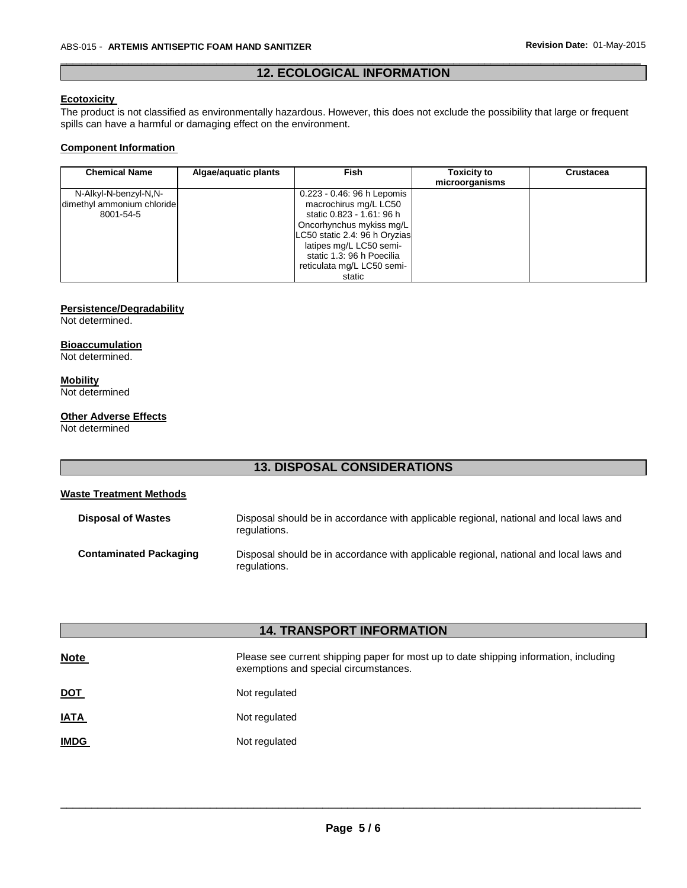### \_\_\_\_\_\_\_\_\_\_\_\_\_\_\_\_\_\_\_\_\_\_\_\_\_\_\_\_\_\_\_\_\_\_\_\_\_\_\_\_\_\_\_\_\_\_\_\_\_\_\_\_\_\_\_\_\_\_\_\_\_\_\_\_\_\_\_\_\_\_\_\_\_\_\_\_\_\_\_\_\_\_\_\_\_\_\_\_\_\_\_\_\_ **12. ECOLOGICAL INFORMATION**

### **Ecotoxicity**

The product is not classified as environmentally hazardous. However, this does not exclude the possibility that large or frequent spills can have a harmful or damaging effect on the environment.

### **Component Information**

| <b>Chemical Name</b>       | Algae/aquatic plants | <b>Fish</b>                   | <b>Toxicity to</b><br>microorganisms | Crustacea |
|----------------------------|----------------------|-------------------------------|--------------------------------------|-----------|
| N-Alkyl-N-benzyl-N,N-      |                      | 0.223 - 0.46: 96 h Lepomis    |                                      |           |
| dimethyl ammonium chloride |                      | macrochirus mg/L LC50         |                                      |           |
| 8001-54-5                  |                      | static 0.823 - 1.61: 96 h     |                                      |           |
|                            |                      | Oncorhynchus mykiss mg/L      |                                      |           |
|                            |                      | LC50 static 2.4: 96 h Oryzias |                                      |           |
|                            |                      | latipes mg/L LC50 semi-       |                                      |           |
|                            |                      | static 1.3: 96 h Poecilia     |                                      |           |
|                            |                      | reticulata mg/L LC50 semi-    |                                      |           |
|                            |                      | static                        |                                      |           |

### **Persistence/Degradability**

Not determined.

### **Bioaccumulation**

Not determined.

### **Mobility**

Not determined

#### **Other Adverse Effects**

Not determined

## **13. DISPOSAL CONSIDERATIONS**

### **Waste Treatment Methods**

| <b>Disposal of Wastes</b>     | Disposal should be in accordance with applicable regional, national and local laws and<br>regulations. |
|-------------------------------|--------------------------------------------------------------------------------------------------------|
| <b>Contaminated Packaging</b> | Disposal should be in accordance with applicable regional, national and local laws and<br>regulations. |

| <b>14. TRANSPORT INFORMATION</b> |                                                                                                                                |  |
|----------------------------------|--------------------------------------------------------------------------------------------------------------------------------|--|
| <b>Note</b>                      | Please see current shipping paper for most up to date shipping information, including<br>exemptions and special circumstances. |  |
| <u>DOT</u>                       | Not regulated                                                                                                                  |  |
| <u>IATA</u>                      | Not regulated                                                                                                                  |  |
| <b>IMDG</b>                      | Not regulated                                                                                                                  |  |
|                                  |                                                                                                                                |  |